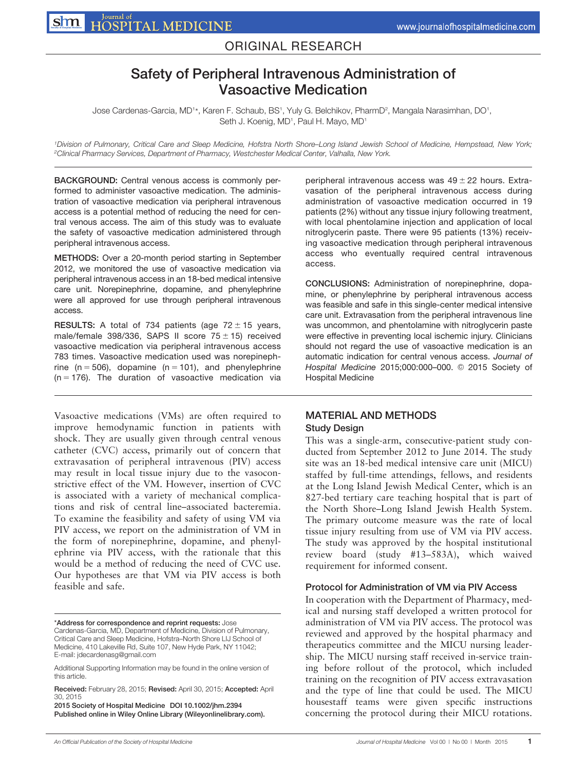## ORIGINAL RESEARCH

# Safety of Peripheral Intravenous Administration of Vasoactive Medication

 $\Delta$ Jose Cardenas-Garcia, MD1\*, Karen F. Schaub, BS1, Yuly G. Belchikov, PharmD $^2$ , Mangala Narasimhan, DO1, Seth J. Koenig, MD<sup>1</sup>, Paul H. Mayo, MD<sup>1</sup>

1Division of Pulmonary, Critical Care and Sleep Medicine, Hofstra North Shore–Long Island Jewish School of Medicine, Hempstead, New York; <sup>2</sup>Clinical Pharmacy Services, Department of Pharmacy, Westchester Medical Center, Valhalla, New York.

BACKGROUND: Central venous access is commonly performed to administer vasoactive medication. The administration of vasoactive medication via peripheral intravenous access is a potential method of reducing the need for central venous access. The aim of this study was to evaluate the safety of vasoactive medication administered through peripheral intravenous access.

METHODS: Over a 20-month period starting in September 2012, we monitored the use of vasoactive medication via peripheral intravenous access in an 18-bed medical intensive care unit. Norepinephrine, dopamine, and phenylephrine were all approved for use through peripheral intravenous access.

**RESULTS:** A total of 734 patients (age  $72 \pm 15$  years, male/female 398/336, SAPS II score  $75 \pm 15$ ) received vasoactive medication via peripheral intravenous access 783 times. Vasoactive medication used was norepinephrine ( $n = 506$ ), dopamine ( $n = 101$ ), and phenylephrine  $(n = 176)$ . The duration of vasoactive medication via

Vasoactive medications (VMs) are often required to improve hemodynamic function in patients with shock. They are usually given through central venous catheter (CVC) access, primarily out of concern that extravasation of peripheral intravenous (PIV) access may result in local tissue injury due to the vasoconstrictive effect of the VM. However, insertion of CVC is associated with a variety of mechanical complications and risk of central line–associated bacteremia. To examine the feasibility and safety of using VM via PIV access, we report on the administration of VM in the form of norepinephrine, dopamine, and phenylephrine via PIV access, with the rationale that this would be a method of reducing the need of CVC use. Our hypotheses are that VM via PIV access is both feasible and safe.

\*Address for correspondence and reprint requests: Jose Cardenas-Garcia, MD, Department of Medicine, Division of Pulmonary, Critical Care and Sleep Medicine, Hofstra–North Shore LIJ School of Medicine, 410 Lakeville Rd, Suite 107, New Hyde Park, NY 11042; E-mail: jdecardenasg@gmail.com

Additional Supporting Information may be found in the online version of this article.

Received: February 28, 2015; Revised: April 30, 2015; Accepted: April 30, 2015

2015 Society of Hospital Medicine DOI 10.1002/jhm.2394 Published online in Wiley Online Library (Wileyonlinelibrary.com). peripheral intravenous access was  $49 \pm 22$  hours. Extravasation of the peripheral intravenous access during administration of vasoactive medication occurred in 19 patients (2%) without any tissue injury following treatment, with local phentolamine injection and application of local nitroglycerin paste. There were 95 patients (13%) receiving vasoactive medication through peripheral intravenous access who eventually required central intravenous access.

CONCLUSIONS: Administration of norepinephrine, dopamine, or phenylephrine by peripheral intravenous access was feasible and safe in this single-center medical intensive care unit. Extravasation from the peripheral intravenous line was uncommon, and phentolamine with nitroglycerin paste were effective in preventing local ischemic injury. Clinicians should not regard the use of vasoactive medication is an automatic indication for central venous access. Journal of Hospital Medicine 2015;000:000-000. @ 2015 Society of Hospital Medicine

## MATERIAL AND METHODS

#### Study Design

This was a single-arm, consecutive-patient study conducted from September 2012 to June 2014. The study site was an 18-bed medical intensive care unit (MICU) staffed by full-time attendings, fellows, and residents at the Long Island Jewish Medical Center, which is an 827-bed tertiary care teaching hospital that is part of the North Shore–Long Island Jewish Health System. The primary outcome measure was the rate of local tissue injury resulting from use of VM via PIV access. The study was approved by the hospital institutional review board (study #13–583A), which waived requirement for informed consent.

#### Protocol for Administration of VM via PIV Access

In cooperation with the Department of Pharmacy, medical and nursing staff developed a written protocol for administration of VM via PIV access. The protocol was reviewed and approved by the hospital pharmacy and therapeutics committee and the MICU nursing leadership. The MICU nursing staff received in-service training before rollout of the protocol, which included training on the recognition of PIV access extravasation and the type of line that could be used. The MICU housestaff teams were given specific instructions concerning the protocol during their MICU rotations.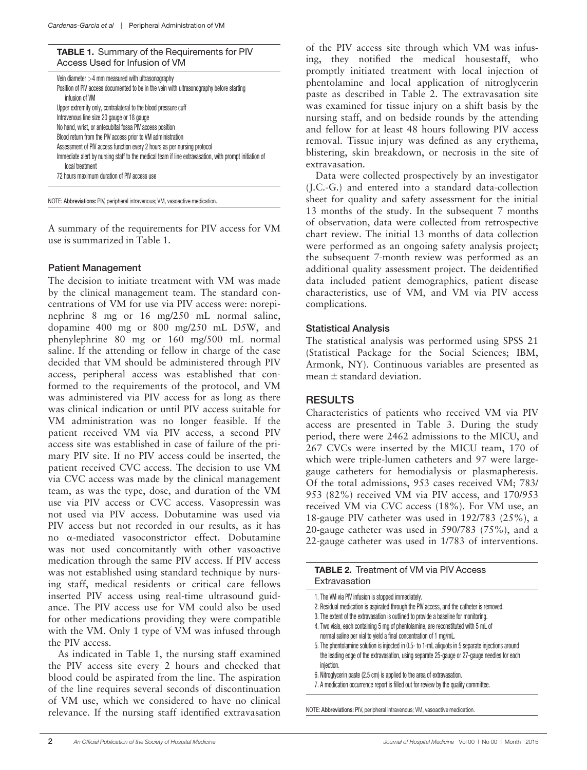TABLE 1. Summary of the Requirements for PIV Access Used for Infusion of VM

| Vein diameter $>4$ mm measured with ultrasonography<br>Position of PIV access documented to be in the vein with ultrasonography before starting<br>infusion of VM |
|-------------------------------------------------------------------------------------------------------------------------------------------------------------------|
| Upper extremity only, contralateral to the blood pressure cuff                                                                                                    |
| Intravenous line size 20 gauge or 18 gauge                                                                                                                        |
| No hand, wrist, or antecubital fossa PIV access position                                                                                                          |
| Blood return from the PIV access prior to VM administration                                                                                                       |
| Assessment of PIV access function every 2 hours as per nursing protocol                                                                                           |
| Immediate alert by nursing staff to the medical team if line extravasation, with prompt initiation of<br>local treatment                                          |
| 72 hours maximum duration of PIV access use                                                                                                                       |
|                                                                                                                                                                   |

NOTE: Abbreviations: PIV, peripheral intravenous; VM, vasoactive medication.

A summary of the requirements for PIV access for VM use is summarized in Table 1.

#### Patient Management

The decision to initiate treatment with VM was made by the clinical management team. The standard concentrations of VM for use via PIV access were: norepinephrine 8 mg or 16 mg/250 mL normal saline, dopamine 400 mg or 800 mg/250 mL D5W, and phenylephrine 80 mg or 160 mg/500 mL normal saline. If the attending or fellow in charge of the case decided that VM should be administered through PIV access, peripheral access was established that conformed to the requirements of the protocol, and VM was administered via PIV access for as long as there was clinical indication or until PIV access suitable for VM administration was no longer feasible. If the patient received VM via PIV access, a second PIV access site was established in case of failure of the primary PIV site. If no PIV access could be inserted, the patient received CVC access. The decision to use VM via CVC access was made by the clinical management team, as was the type, dose, and duration of the VM use via PIV access or CVC access. Vasopressin was not used via PIV access. Dobutamine was used via PIV access but not recorded in our results, as it has no a-mediated vasoconstrictor effect. Dobutamine was not used concomitantly with other vasoactive medication through the same PIV access. If PIV access was not established using standard technique by nursing staff, medical residents or critical care fellows inserted PIV access using real-time ultrasound guidance. The PIV access use for VM could also be used for other medications providing they were compatible with the VM. Only 1 type of VM was infused through the PIV access.

As indicated in Table 1, the nursing staff examined the PIV access site every 2 hours and checked that blood could be aspirated from the line. The aspiration of the line requires several seconds of discontinuation of VM use, which we considered to have no clinical relevance. If the nursing staff identified extravasation

of the PIV access site through which VM was infusing, they notified the medical housestaff, who promptly initiated treatment with local injection of phentolamine and local application of nitroglycerin paste as described in Table 2. The extravasation site was examined for tissue injury on a shift basis by the nursing staff, and on bedside rounds by the attending and fellow for at least 48 hours following PIV access removal. Tissue injury was defined as any erythema, blistering, skin breakdown, or necrosis in the site of extravasation.

Data were collected prospectively by an investigator (J.C.-G.) and entered into a standard data-collection sheet for quality and safety assessment for the initial 13 months of the study. In the subsequent 7 months of observation, data were collected from retrospective chart review. The initial 13 months of data collection were performed as an ongoing safety analysis project; the subsequent 7-month review was performed as an additional quality assessment project. The deidentified data included patient demographics, patient disease characteristics, use of VM, and VM via PIV access complications.

#### Statistical Analysis

The statistical analysis was performed using SPSS 21 (Statistical Package for the Social Sciences; IBM, Armonk, NY). Continuous variables are presented as mean  $\pm$  standard deviation.

#### RESULTS

Characteristics of patients who received VM via PIV access are presented in Table 3. During the study period, there were 2462 admissions to the MICU, and 267 CVCs were inserted by the MICU team, 170 of which were triple-lumen catheters and 97 were largegauge catheters for hemodialysis or plasmapheresis. Of the total admissions, 953 cases received VM; 783/ 953 (82%) received VM via PIV access, and 170/953 received VM via CVC access (18%). For VM use, an 18-gauge PIV catheter was used in 192/783 (25%), a 20-gauge catheter was used in 590/783 (75%), and a 22-gauge catheter was used in 1/783 of interventions.

| <b>TABLE 2.</b> Treatment of VM via PIV Access<br>Extravasation                                                                                                                                                                                                                                                                                                                                                                                                                                                                                                                                       |
|-------------------------------------------------------------------------------------------------------------------------------------------------------------------------------------------------------------------------------------------------------------------------------------------------------------------------------------------------------------------------------------------------------------------------------------------------------------------------------------------------------------------------------------------------------------------------------------------------------|
| 1. The VM via PIV infusion is stopped immediately.<br>2. Residual medication is aspirated through the PIV access, and the catheter is removed.<br>3. The extent of the extravasation is outlined to provide a baseline for monitoring.<br>4. Two vials, each containing 5 mg of phentolamine, are reconstituted with 5 mL of<br>normal saline per vial to yield a final concentration of 1 mg/mL.<br>5. The phentolamine solution is injected in 0.5- to 1-mL aliguots in 5 separate injections around<br>the leading edge of the extravasation, using separate 25-gauge or 27-gauge needles for each |
| injection.                                                                                                                                                                                                                                                                                                                                                                                                                                                                                                                                                                                            |

- 6. Nitroglycerin paste (2.5 cm) is applied to the area of extravasation.
- 7. A medication occurrence report is filled out for review by the quality committee.

NOTE: Abbreviations: PIV, peripheral intravenous; VM, vasoactive medication.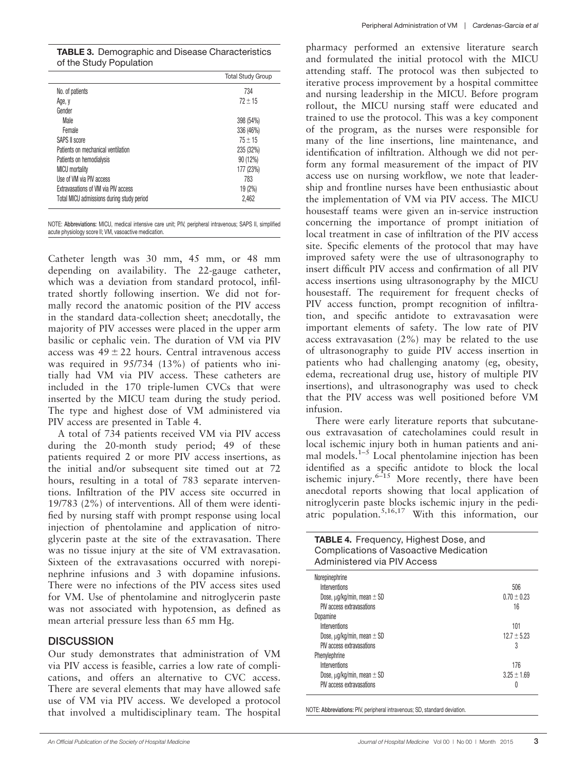| <b>TABLE 3.</b> Demographic and Disease Characteristics |
|---------------------------------------------------------|
| of the Study Population                                 |

|                                           | <b>Total Study Group</b> |
|-------------------------------------------|--------------------------|
| No. of patients                           | 734                      |
| Age, y                                    | $72 + 15$                |
| Gender                                    |                          |
| <b>Male</b>                               | 398 (54%)                |
| <b>Female</b>                             | 336 (46%)                |
| SAPS II score                             | $75 + 15$                |
| Patients on mechanical ventilation        | 235 (32%)                |
| Patients on hemodialysis                  | 90 (12%)                 |
| <b>MICU</b> mortality                     | 177 (23%)                |
| Use of VM via PIV access                  | 783                      |
| Extravasations of VM via PIV access       | 19 (2%)                  |
| Total MICU admissions during study period | 2,462                    |
|                                           |                          |

NOTE: Abbreviations: MICU, medical intensive care unit; PIV, peripheral intravenous; SAPS II, simplified acute physiology score II; VM, vasoactive medication.

Catheter length was 30 mm, 45 mm, or 48 mm depending on availability. The 22-gauge catheter, which was a deviation from standard protocol, infiltrated shortly following insertion. We did not formally record the anatomic position of the PIV access in the standard data-collection sheet; anecdotally, the majority of PIV accesses were placed in the upper arm basilic or cephalic vein. The duration of VM via PIV access was  $49 \pm 22$  hours. Central intravenous access was required in 95/734 (13%) of patients who initially had VM via PIV access. These catheters are included in the 170 triple-lumen CVCs that were inserted by the MICU team during the study period. The type and highest dose of VM administered via PIV access are presented in Table 4.

A total of 734 patients received VM via PIV access during the 20-month study period; 49 of these patients required 2 or more PIV access insertions, as the initial and/or subsequent site timed out at 72 hours, resulting in a total of 783 separate interventions. Infiltration of the PIV access site occurred in 19/783 (2%) of interventions. All of them were identified by nursing staff with prompt response using local injection of phentolamine and application of nitroglycerin paste at the site of the extravasation. There was no tissue injury at the site of VM extravasation. Sixteen of the extravasations occurred with norepinephrine infusions and 3 with dopamine infusions. There were no infections of the PIV access sites used for VM. Use of phentolamine and nitroglycerin paste was not associated with hypotension, as defined as mean arterial pressure less than 65 mm Hg.

#### **DISCUSSION**

Our study demonstrates that administration of VM via PIV access is feasible, carries a low rate of complications, and offers an alternative to CVC access. There are several elements that may have allowed safe use of VM via PIV access. We developed a protocol that involved a multidisciplinary team. The hospital pharmacy performed an extensive literature search and formulated the initial protocol with the MICU attending staff. The protocol was then subjected to iterative process improvement by a hospital committee and nursing leadership in the MICU. Before program rollout, the MICU nursing staff were educated and trained to use the protocol. This was a key component of the program, as the nurses were responsible for many of the line insertions, line maintenance, and identification of infiltration. Although we did not perform any formal measurement of the impact of PIV access use on nursing workflow, we note that leadership and frontline nurses have been enthusiastic about the implementation of VM via PIV access. The MICU housestaff teams were given an in-service instruction concerning the importance of prompt initiation of local treatment in case of infiltration of the PIV access site. Specific elements of the protocol that may have improved safety were the use of ultrasonography to insert difficult PIV access and confirmation of all PIV access insertions using ultrasonography by the MICU housestaff. The requirement for frequent checks of PIV access function, prompt recognition of infiltration, and specific antidote to extravasation were important elements of safety. The low rate of PIV access extravasation (2%) may be related to the use of ultrasonography to guide PIV access insertion in patients who had challenging anatomy (eg, obesity, edema, recreational drug use, history of multiple PIV insertions), and ultrasonography was used to check that the PIV access was well positioned before VM infusion.

There were early literature reports that subcutaneous extravasation of catecholamines could result in local ischemic injury both in human patients and animal models.<sup>1–5</sup> Local phentolamine injection has been identified as a specific antidote to block the local ischemic injury. $6-15$  More recently, there have been anecdotal reports showing that local application of nitroglycerin paste blocks ischemic injury in the pediatric population.<sup>5,16,17</sup> With this information, our

| <b>TABLE 4.</b> Frequency, Highest Dose, and<br><b>Complications of Vasoactive Medication</b><br>Administered via PIV Access                                                                                                                                                                                    |                                                                                        |
|-----------------------------------------------------------------------------------------------------------------------------------------------------------------------------------------------------------------------------------------------------------------------------------------------------------------|----------------------------------------------------------------------------------------|
| Norepinephrine<br>Interventions<br>Dose, $\mu$ g/kg/min, mean $\pm$ SD<br>PIV access extravasations<br>Dopamine<br>Interventions<br>Dose, $\mu q / kq / min$ , mean $\pm$ SD<br>PIV access extravasations<br>Phenylephrine<br>Interventions<br>Dose, $\mu$ g/kg/min, mean $\pm$ SD<br>PIV access extravasations | 506<br>$0.70 + 0.23$<br>16<br>101<br>$12.7 + 5.23$<br>3<br>176<br>$3.25 \pm 1.69$<br>0 |

NOTE: Abbreviations: PIV, peripheral intravenous; SD, standard deviation.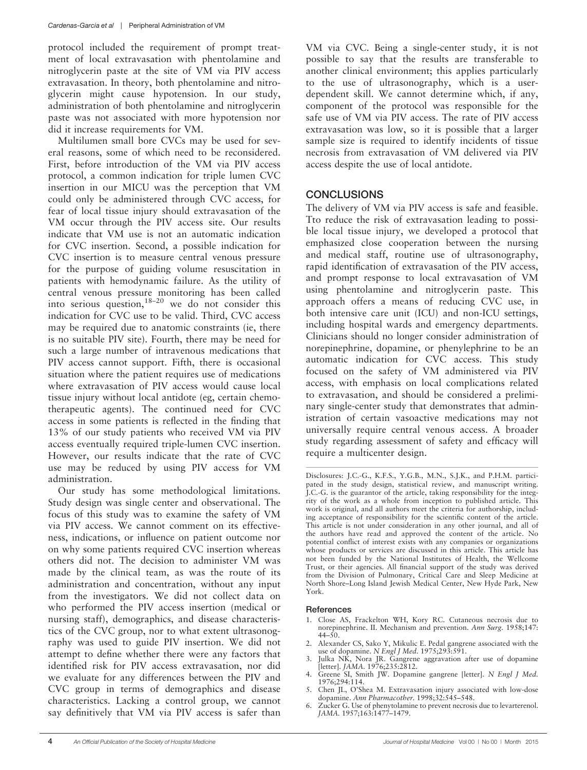protocol included the requirement of prompt treatment of local extravasation with phentolamine and nitroglycerin paste at the site of VM via PIV access extravasation. In theory, both phentolamine and nitroglycerin might cause hypotension. In our study, administration of both phentolamine and nitroglycerin paste was not associated with more hypotension nor did it increase requirements for VM.

Multilumen small bore CVCs may be used for several reasons, some of which need to be reconsidered. First, before introduction of the VM via PIV access protocol, a common indication for triple lumen CVC insertion in our MICU was the perception that VM could only be administered through CVC access, for fear of local tissue injury should extravasation of the VM occur through the PIV access site. Our results indicate that VM use is not an automatic indication for CVC insertion. Second, a possible indication for CVC insertion is to measure central venous pressure for the purpose of guiding volume resuscitation in patients with hemodynamic failure. As the utility of central venous pressure monitoring has been called into serious question,  $18-20$  we do not consider this indication for CVC use to be valid. Third, CVC access may be required due to anatomic constraints (ie, there is no suitable PIV site). Fourth, there may be need for such a large number of intravenous medications that PIV access cannot support. Fifth, there is occasional situation where the patient requires use of medications where extravasation of PIV access would cause local tissue injury without local antidote (eg, certain chemotherapeutic agents). The continued need for CVC access in some patients is reflected in the finding that 13% of our study patients who received VM via PIV access eventually required triple-lumen CVC insertion. However, our results indicate that the rate of CVC use may be reduced by using PIV access for VM administration.

Our study has some methodological limitations. Study design was single center and observational. The focus of this study was to examine the safety of VM via PIV access. We cannot comment on its effectiveness, indications, or influence on patient outcome nor on why some patients required CVC insertion whereas others did not. The decision to administer VM was made by the clinical team, as was the route of its administration and concentration, without any input from the investigators. We did not collect data on who performed the PIV access insertion (medical or nursing staff), demographics, and disease characteristics of the CVC group, nor to what extent ultrasonography was used to guide PIV insertion. We did not attempt to define whether there were any factors that identified risk for PIV access extravasation, nor did we evaluate for any differences between the PIV and CVC group in terms of demographics and disease characteristics. Lacking a control group, we cannot say definitively that VM via PIV access is safer than

VM via CVC. Being a single-center study, it is not possible to say that the results are transferable to another clinical environment; this applies particularly to the use of ultrasonography, which is a userdependent skill. We cannot determine which, if any, component of the protocol was responsible for the safe use of VM via PIV access. The rate of PIV access extravasation was low, so it is possible that a larger sample size is required to identify incidents of tissue necrosis from extravasation of VM delivered via PIV access despite the use of local antidote.

### **CONCLUSIONS**

The delivery of VM via PIV access is safe and feasible. Tto reduce the risk of extravasation leading to possible local tissue injury, we developed a protocol that emphasized close cooperation between the nursing and medical staff, routine use of ultrasonography, rapid identification of extravasation of the PIV access, and prompt response to local extravasation of VM using phentolamine and nitroglycerin paste. This approach offers a means of reducing CVC use, in both intensive care unit (ICU) and non-ICU settings, including hospital wards and emergency departments. Clinicians should no longer consider administration of norepinephrine, dopamine, or phenylephrine to be an automatic indication for CVC access. This study focused on the safety of VM administered via PIV access, with emphasis on local complications related to extravasation, and should be considered a preliminary single-center study that demonstrates that administration of certain vasoactive medications may not universally require central venous access. A broader study regarding assessment of safety and efficacy will require a multicenter design.

#### References

- 1. Close AS, Frackelton WH, Kory RC. Cutaneous necrosis due to norepinephrine. II. Mechanism and prevention. Ann Surg. 1958;147:  $44 - 50$ .
- 2. Alexander CS, Sako Y, Mikulic E. Pedal gangrene associated with the use of dopamine. N Engl J Med. 1975;293:591.
- 3. Julka NK, Nora JR. Gangrene aggravation after use of dopamine [letter]. JAMA. 1976;235:2812.
- Greene SI, Smith JW. Dopamine gangrene [letter]. N Engl J Med. 1976;294:114.
- 5. Chen JL, O'Shea M. Extravasation injury associated with low-dose dopamine. Ann Pharmacother. 1998;32:545–548.
- Zucker G. Use of phenytolamine to prevent necrosis due to levarterenol. JAMA. 1957;163:1477–1479.

Disclosures: J.C.-G., K.F.S., Y.G.B., M.N., S.J.K., and P.H.M. participated in the study design, statistical review, and manuscript writing. J.C.-G. is the guarantor of the article, taking responsibility for the integrity of the work as a whole from inception to published article. This work is original, and all authors meet the criteria for authorship, including acceptance of responsibility for the scientific content of the article. This article is not under consideration in any other journal, and all of the authors have read and approved the content of the article. No potential conflict of interest exists with any companies or organizations whose products or services are discussed in this article. This article has not been funded by the National Institutes of Health, the Wellcome Trust, or their agencies. All financial support of the study was derived from the Division of Pulmonary, Critical Care and Sleep Medicine at North Shore–Long Island Jewish Medical Center, New Hyde Park, New York.